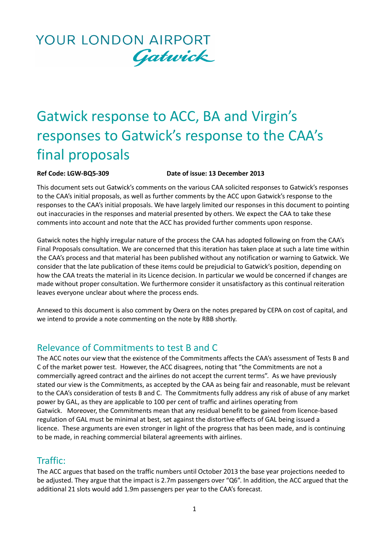# Gatwick response to ACC, BA and Virgin's responses to Gatwick's response to the CAA's final proposals

#### **Ref Code: LGW-BQ5-309 Date of issue: 13 December 2013**

This document sets out Gatwick's comments on the various CAA solicited responses to Gatwick's responses to the CAA's initial proposals, as well as further comments by the ACC upon Gatwick's response to the responses to the CAA's initial proposals. We have largely limited our responses in this document to pointing out inaccuracies in the responses and material presented by others. We expect the CAA to take these comments into account and note that the ACC has provided further comments upon response.

Gatwick notes the highly irregular nature of the process the CAA has adopted following on from the CAA's Final Proposals consultation. We are concerned that this iteration has taken place at such a late time within the CAA's process and that material has been published without any notification or warning to Gatwick. We consider that the late publication of these items could be prejudicial to Gatwick's position, depending on how the CAA treats the material in its Licence decision. In particular we would be concerned if changes are made without proper consultation. We furthermore consider it unsatisfactory as this continual reiteration leaves everyone unclear about where the process ends.

Annexed to this document is also comment by Oxera on the notes prepared by CEPA on cost of capital, and we intend to provide a note commenting on the note by RBB shortly.

### Relevance of Commitments to test B and C

The ACC notes our view that the existence of the Commitments affects the CAA's assessment of Tests B and C of the market power test. However, the ACC disagrees, noting that "the Commitments are not a commercially agreed contract and the airlines do not accept the current terms". As we have previously stated our view is the Commitments, as accepted by the CAA as being fair and reasonable, must be relevant to the CAA's consideration of tests B and C. The Commitments fully address any risk of abuse of any market power by GAL, as they are applicable to 100 per cent of traffic and airlines operating from Gatwick. Moreover, the Commitments mean that any residual benefit to be gained from licence-based regulation of GAL must be minimal at best, set against the distortive effects of GAL being issued a licence. These arguments are even stronger in light of the progress that has been made, and is continuing to be made, in reaching commercial bilateral agreements with airlines.

### Traffic:

The ACC argues that based on the traffic numbers until October 2013 the base year projections needed to be adjusted. They argue that the impact is 2.7m passengers over "Q6". In addition, the ACC argued that the additional 21 slots would add 1.9m passengers per year to the CAA's forecast.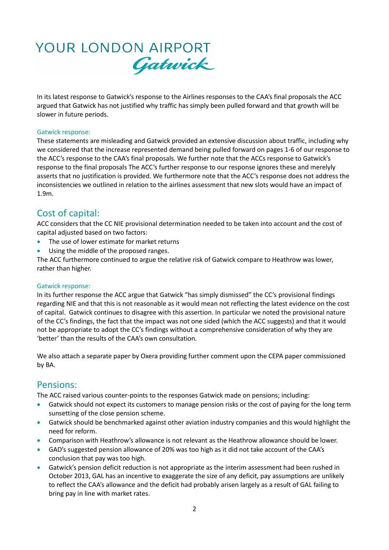In its latest response to Gatwick's response to the Airlines responses to the CAA's final proposals the ACC argued that Gatwick has not justified why traffic has simply been pulled forward and that growth will be slower in future periods.

#### Gatwick response:

These statements are misleading and Gatwick provided an extensive discussion about traffic, including why we considered that the increase represented demand being pulled forward on pages 1-6 of our response to the ACC's response to the CAA's final proposals. We further note that the ACCs response to Gatwick's response to the final proposals The ACC's further response to our response ignores these and merelyly asserts that no justification is provided. We furthermore note that the ACC's response does not address the inconsistencies we outlined in relation to the airlines assessment that new slots would have an impact of 1.9m.

### Cost of capital:

ACC considers that the CC NIE provisional determination needed to be taken into account and the cost of capital adjusted based on two factors:

- The use of lower estimate for market returns
- Using the middle of the proposed ranges.

The ACC furthermore continued to argue the relative risk of Gatwick compare to Heathrow was lower, rather than higher.

#### Gatwick response:

In its further response the ACC argue that Gatwick "has simply dismissed" the CC's provisional findings regarding NIE and that this is not reasonable as it would mean not reflecting the latest evidence on the cost of capital. Gatwick continues to disagree with this assertion. In particular we noted the provisional nature of the CC's findings, the fact that the impact was not one sided (which the ACC suggests) and that it would not be appropriate to adopt the CC's findings without a comprehensive consideration of why they are 'better' than the results of the CAA's own consultation.

We also attach a separate paper by Oxera providing further comment upon the CEPA paper commissioned by BA.

### Pensions:

The ACC raised various counter-points to the responses Gatwick made on pensions; including:

- Gatwick should not expect its customers to manage pension risks or the cost of paying for the long term sunsetting of the close pension scheme.
- Gatwick should be benchmarked against other aviation industry companies and this would highlight the need for reform.
- Comparison with Heathrow's allowance is not relevant as the Heathrow allowance should be lower.
- GAD's suggested pension allowance of 20% was too high as it did not take account of the CAA's conclusion that pay was too high.
- Gatwick's pension deficit reduction is not appropriate as the interim assessment had been rushed in October 2013, GAL has an incentive to exaggerate the size of any deficit, pay assumptions are unlikely to reflect the CAA's allowance and the deficit had probably arisen largely as a result of GAL failing to bring pay in line with market rates.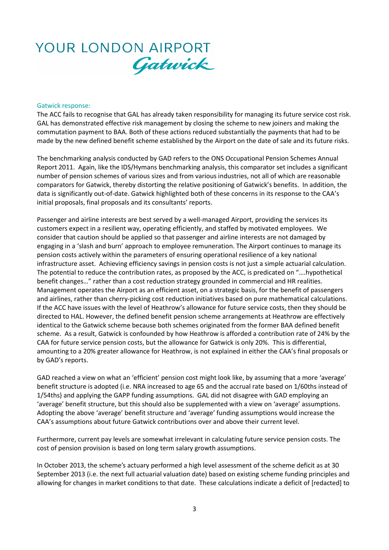#### Gatwick response:

The ACC fails to recognise that GAL has already taken responsibility for managing its future service cost risk. GAL has demonstrated effective risk management by closing the scheme to new joiners and making the commutation payment to BAA. Both of these actions reduced substantially the payments that had to be made by the new defined benefit scheme established by the Airport on the date of sale and its future risks.

The benchmarking analysis conducted by GAD refers to the ONS Occupational Pension Schemes Annual Report 2011. Again, like the IDS/Hymans benchmarking analysis, this comparator set includes a significant number of pension schemes of various sizes and from various industries, not all of which are reasonable comparators for Gatwick, thereby distorting the relative positioning of Gatwick's benefits. In addition, the data is significantly out-of-date. Gatwick highlighted both of these concerns in its response to the CAA's initial proposals, final proposals and its consultants' reports.

Passenger and airline interests are best served by a well-managed Airport, providing the services its customers expect in a resilient way, operating efficiently, and staffed by motivated employees. We consider that caution should be applied so that passenger and airline interests are not damaged by engaging in a 'slash and burn' approach to employee remuneration. The Airport continues to manage its pension costs actively within the parameters of ensuring operational resilience of a key national infrastructure asset. Achieving efficiency savings in pension costs is not just a simple actuarial calculation. The potential to reduce the contribution rates, as proposed by the ACC, is predicated on "….hypothetical benefit changes…" rather than a cost reduction strategy grounded in commercial and HR realities. Management operates the Airport as an efficient asset, on a strategic basis, for the benefit of passengers and airlines, rather than cherry-picking cost reduction initiatives based on pure mathematical calculations. If the ACC have issues with the level of Heathrow's allowance for future service costs, then they should be directed to HAL. However, the defined benefit pension scheme arrangements at Heathrow are effectively identical to the Gatwick scheme because both schemes originated from the former BAA defined benefit scheme. As a result, Gatwick is confounded by how Heathrow is afforded a contribution rate of 24% by the CAA for future service pension costs, but the allowance for Gatwick is only 20%. This is differential, amounting to a 20% greater allowance for Heathrow, is not explained in either the CAA's final proposals or by GAD's reports.

GAD reached a view on what an 'efficient' pension cost might look like, by assuming that a more 'average' benefit structure is adopted (i.e. NRA increased to age 65 and the accrual rate based on 1/60ths instead of 1/54ths) and applying the GAPP funding assumptions. GAL did not disagree with GAD employing an 'average' benefit structure, but this should also be supplemented with a view on 'average' assumptions. Adopting the above 'average' benefit structure and 'average' funding assumptions would increase the CAA's assumptions about future Gatwick contributions over and above their current level.

Furthermore, current pay levels are somewhat irrelevant in calculating future service pension costs. The cost of pension provision is based on long term salary growth assumptions.

In October 2013, the scheme's actuary performed a high level assessment of the scheme deficit as at 30 September 2013 (i.e. the next full actuarial valuation date) based on existing scheme funding principles and allowing for changes in market conditions to that date. These calculations indicate a deficit of [redacted] to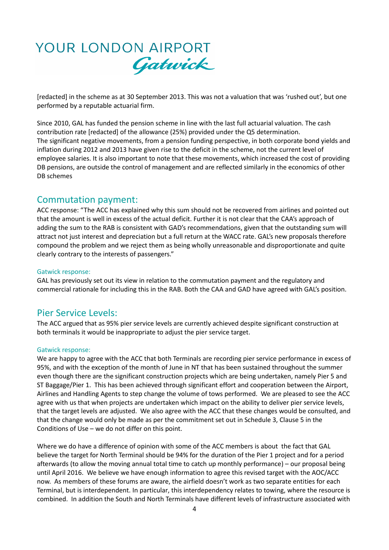[redacted] in the scheme as at 30 September 2013. This was not a valuation that was 'rushed out', but one performed by a reputable actuarial firm.

Since 2010, GAL has funded the pension scheme in line with the last full actuarial valuation. The cash contribution rate [redacted] of the allowance (25%) provided under the Q5 determination. The significant negative movements, from a pension funding perspective, in both corporate bond yields and inflation during 2012 and 2013 have given rise to the deficit in the scheme, not the current level of employee salaries. It is also important to note that these movements, which increased the cost of providing DB pensions, are outside the control of management and are reflected similarly in the economics of other DB schemes

### Commutation payment:

ACC response: "The ACC has explained why this sum should not be recovered from airlines and pointed out that the amount is well in excess of the actual deficit. Further it is not clear that the CAA's approach of adding the sum to the RAB is consistent with GAD's recommendations, given that the outstanding sum will attract not just interest and depreciation but a full return at the WACC rate. GAL's new proposals therefore compound the problem and we reject them as being wholly unreasonable and disproportionate and quite clearly contrary to the interests of passengers."

### Gatwick response:

GAL has previously set out its view in relation to the commutation payment and the regulatory and commercial rationale for including this in the RAB. Both the CAA and GAD have agreed with GAL's position.

### Pier Service Levels:

The ACC argued that as 95% pier service levels are currently achieved despite significant construction at both terminals it would be inappropriate to adjust the pier service target.

### Gatwick response:

We are happy to agree with the ACC that both Terminals are recording pier service performance in excess of 95%, and with the exception of the month of June in NT that has been sustained throughout the summer even though there are the significant construction projects which are being undertaken, namely Pier 5 and ST Baggage/Pier 1. This has been achieved through significant effort and cooperation between the Airport, Airlines and Handling Agents to step change the volume of tows performed. We are pleased to see the ACC agree with us that when projects are undertaken which impact on the ability to deliver pier service levels, that the target levels are adjusted. We also agree with the ACC that these changes would be consulted, and that the change would only be made as per the commitment set out in Schedule 3, Clause 5 in the Conditions of Use – we do not differ on this point.

Where we do have a difference of opinion with some of the ACC members is about the fact that GAL believe the target for North Terminal should be 94% for the duration of the Pier 1 project and for a period afterwards (to allow the moving annual total time to catch up monthly performance) – our proposal being until April 2016. We believe we have enough information to agree this revised target with the AOC/ACC now. As members of these forums are aware, the airfield doesn't work as two separate entities for each Terminal, but is interdependent. In particular, this interdependency relates to towing, where the resource is combined. In addition the South and North Terminals have different levels of infrastructure associated with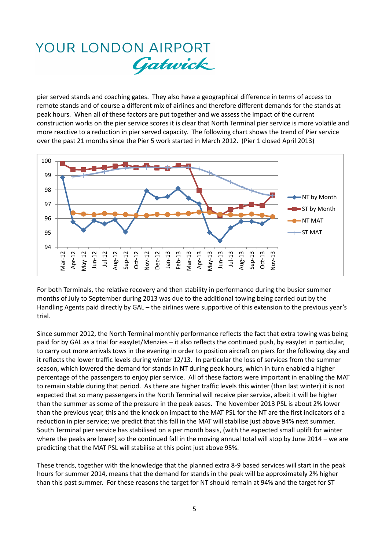pier served stands and coaching gates. They also have a geographical difference in terms of access to remote stands and of course a different mix of airlines and therefore different demands for the stands at peak hours. When all of these factors are put together and we assess the impact of the current construction works on the pier service scores it is clear that North Terminal pier service is more volatile and more reactive to a reduction in pier served capacity. The following chart shows the trend of Pier service over the past 21 months since the Pier 5 work started in March 2012. (Pier 1 closed April 2013)



For both Terminals, the relative recovery and then stability in performance during the busier summer months of July to September during 2013 was due to the additional towing being carried out by the Handling Agents paid directly by GAL – the airlines were supportive of this extension to the previous year's trial.

Since summer 2012, the North Terminal monthly performance reflects the fact that extra towing was being paid for by GAL as a trial for easyJet/Menzies – it also reflects the continued push, by easyJet in particular, to carry out more arrivals tows in the evening in order to position aircraft on piers for the following day and it reflects the lower traffic levels during winter 12/13. In particular the loss of services from the summer season, which lowered the demand for stands in NT during peak hours, which in turn enabled a higher percentage of the passengers to enjoy pier service. All of these factors were important in enabling the MAT to remain stable during that period. As there are higher traffic levels this winter (than last winter) it is not expected that so many passengers in the North Terminal will receive pier service, albeit it will be higher than the summer as some of the pressure in the peak eases. The November 2013 PSL is about 2% lower than the previous year, this and the knock on impact to the MAT PSL for the NT are the first indicators of a reduction in pier service; we predict that this fall in the MAT will stabilise just above 94% next summer. South Terminal pier service has stabilised on a per month basis, (with the expected small uplift for winter where the peaks are lower) so the continued fall in the moving annual total will stop by June 2014 – we are predicting that the MAT PSL will stabilise at this point just above 95%.

These trends, together with the knowledge that the planned extra 8-9 based services will start in the peak hours for summer 2014, means that the demand for stands in the peak will be approximately 2% higher than this past summer. For these reasons the target for NT should remain at 94% and the target for ST